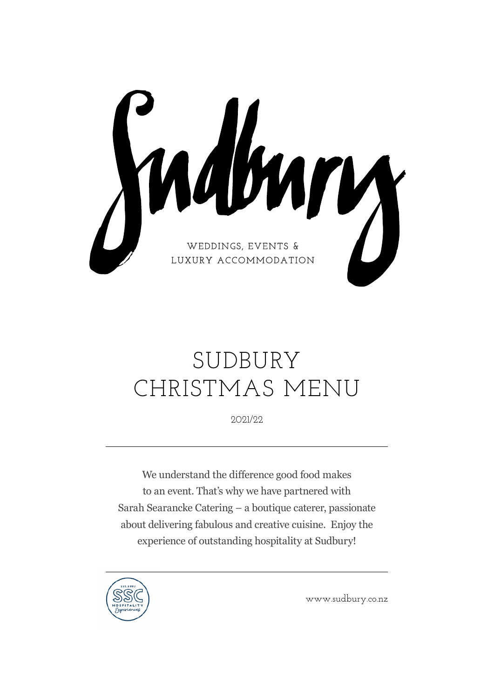Multury LUXURY ACCOMMODATION

# SUDBURY CHRISTMAS MENU

2021/22

We understand the difference good food makes to an event. That's why we have partnered with Sarah Searancke Catering – a boutique caterer, passionate about delivering fabulous and creative cuisine. Enjoy the experience of outstanding hospitality at Sudbury!



www.sudbury.co.nz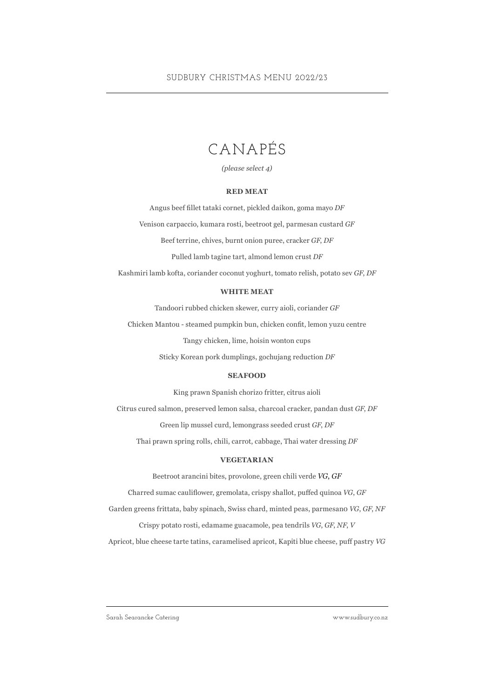### CANAPÉS

*(please select 4)*

#### **RED MEAT**

Angus beef fillet tataki cornet, pickled daikon, goma mayo *DF* Venison carpaccio, kumara rosti, beetroot gel, parmesan custard *GF* Beef terrine, chives, burnt onion puree, cracker *GF*, *DF* Pulled lamb tagine tart, almond lemon crust *DF*

Kashmiri lamb kofta, coriander coconut yoghurt, tomato relish, potato sev *GF*, *DF*

#### **WHITE MEAT**

Tandoori rubbed chicken skewer, curry aioli, coriander *GF*

Chicken Mantou - steamed pumpkin bun, chicken confit, lemon yuzu centre

Tangy chicken, lime, hoisin wonton cups

Sticky Korean pork dumplings, gochujang reduction *DF*

#### **SEAFOOD**

King prawn Spanish chorizo fritter, citrus aioli

Citrus cured salmon, preserved lemon salsa, charcoal cracker, pandan dust *GF*, *DF*

Green lip mussel curd, lemongrass seeded crust *GF*, *DF*

Thai prawn spring rolls, chili, carrot, cabbage, Thai water dressing *DF*

#### **VEGETARIAN**

Beetroot arancini bites, provolone, green chili verde *VG*, *GF*

Charred sumac cauliflower, gremolata, crispy shallot, puffed quinoa *VG*, *GF*

Garden greens frittata, baby spinach, Swiss chard, minted peas, parmesan0 *VG*, *GF*, *NF*

Crispy potato rosti, edamame guacamole, pea tendrils *VG*, *GF*, *NF*, *V*

Apricot, blue cheese tarte tatins, caramelised apricot, Kapiti blue cheese, puff pastry *VG*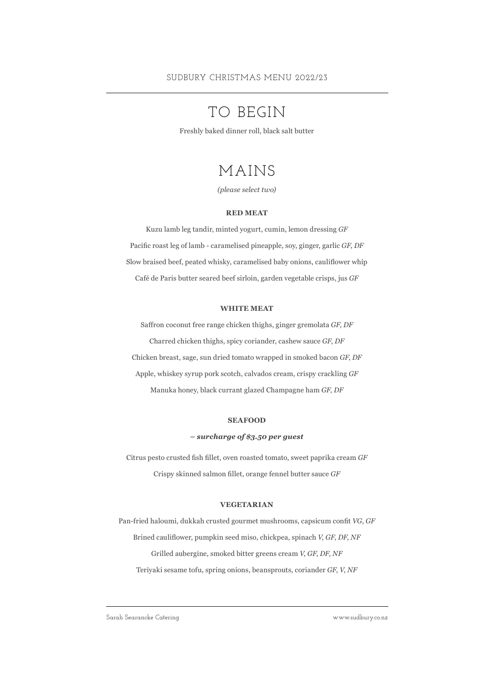### TO BEGIN

Freshly baked dinner roll, black salt butter

### MAINS

*(please select two)*

#### **RED MEAT**

Kuzu lamb leg tandir, minted yogurt, cumin, lemon dressing *GF* Pacific roast leg of lamb - caramelised pineapple, soy, ginger, garlic *GF*, *DF* Slow braised beef, peated whisky, caramelised baby onions, cauliflower whip Café de Paris butter seared beef sirloin, garden vegetable crisps, jus *GF*

#### **WHITE MEAT**

Saffron coconut free range chicken thighs, ginger gremolata *GF*, *DF* Charred chicken thighs, spicy coriander, cashew sauce *GF*, *DF* Chicken breast, sage, sun dried tomato wrapped in smoked bacon *GF*, *DF* Apple, whiskey syrup pork scotch, calvados cream, crispy crackling *GF* Manuka honey, black currant glazed Champagne ham *GF*, *DF*

#### **SEAFOOD**

#### **–** *surcharge of \$3.50 per guest*

Citrus pesto crusted fish fillet, oven roasted tomato, sweet paprika cream *GF* Crispy skinned salmon fillet, orange fennel butter sauce *GF*

#### **VEGETARIAN**

Pan-fried haloumi, dukkah crusted gourmet mushrooms, capsicum confit *VG*, *GF* Brined cauliflower, pumpkin seed miso, chickpea, spinach *V*, *GF*, *DF*, *NF* Grilled aubergine, smoked bitter greens cream *V*, *GF*, *DF*, *NF* Teriyaki sesame tofu, spring onions, beansprouts, coriander *GF*, *V*, *NF*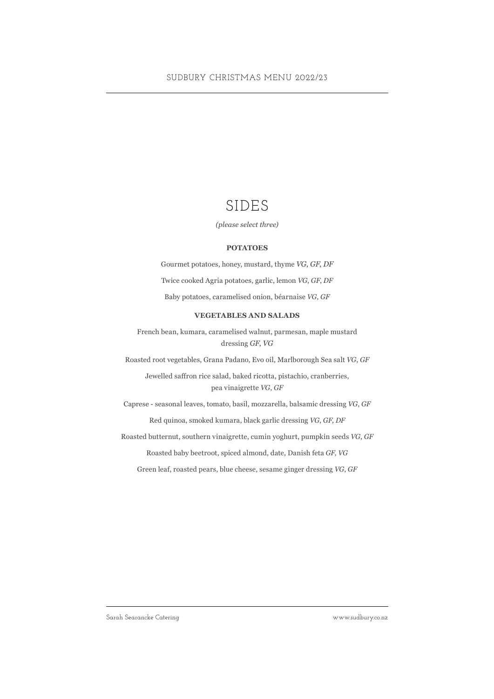### SIDES

*(please select three)*

#### **POTATOES**

Gourmet potatoes, honey, mustard, thyme *VG*, *GF*, *DF* Twice cooked Agria potatoes, garlic, lemon *VG*, *GF*, *DF* Baby potatoes, caramelised onion, béarnaise *VG*, *GF*

#### **VEGETABLES AND SALADS**

French bean, kumara, caramelised walnut, parmesan, maple mustard dressing *GF*, *VG*

Roasted root vegetables, Grana Padano, Evo oil, Marlborough Sea salt *VG*, *GF*

Jewelled saffron rice salad, baked ricotta, pistachio, cranberries, pea vinaigrette *VG*, *GF*

Caprese - seasonal leaves, tomato, basil, mozzarella, balsamic dressing *VG*, *GF*

Red quinoa, smoked kumara, black garlic dressing *VG*, *GF*, *DF*

Roasted butternut, southern vinaigrette, cumin yoghurt, pumpkin seeds *VG*, *GF*

Roasted baby beetroot, spiced almond, date, Danish feta *GF*, *VG*

Green leaf, roasted pears, blue cheese, sesame ginger dressing *VG*, *GF*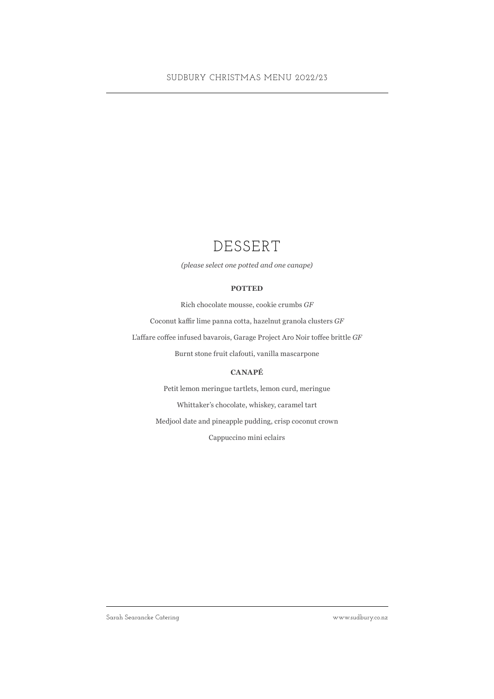### DESSERT

*(please select one potted and one canape)*

#### **POTTED**

Rich chocolate mousse, cookie crumbs *GF*

Coconut kaffir lime panna cotta, hazelnut granola clusters *GF*

L'affare coffee infused bavarois, Garage Project Aro Noir toffee brittle *GF*

Burnt stone fruit clafouti, vanilla mascarpone

#### **CANAPÉ**

Petit lemon meringue tartlets, lemon curd, meringue Whittaker's chocolate, whiskey, caramel tart Medjool date and pineapple pudding, crisp coconut crown Cappuccino mini eclairs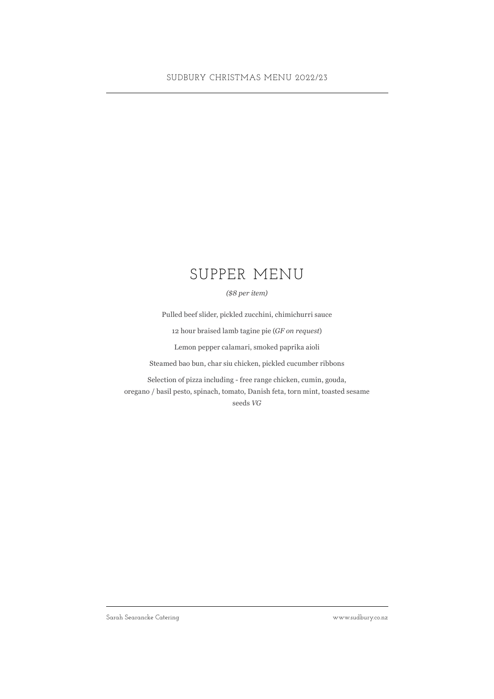#### SUDBURY CHRISTMAS MENU 2022/23

### SUPPER MENU

*(\$8 per item)*

Pulled beef slider, pickled zucchini, chimichurri sauce

12 hour braised lamb tagine pie (*GF on request*)

Lemon pepper calamari, smoked paprika aioli

Steamed bao bun, char siu chicken, pickled cucumber ribbons

Selection of pizza including - free range chicken, cumin, gouda, oregano / basil pesto, spinach, tomato, Danish feta, torn mint, toasted sesame seeds *VG*